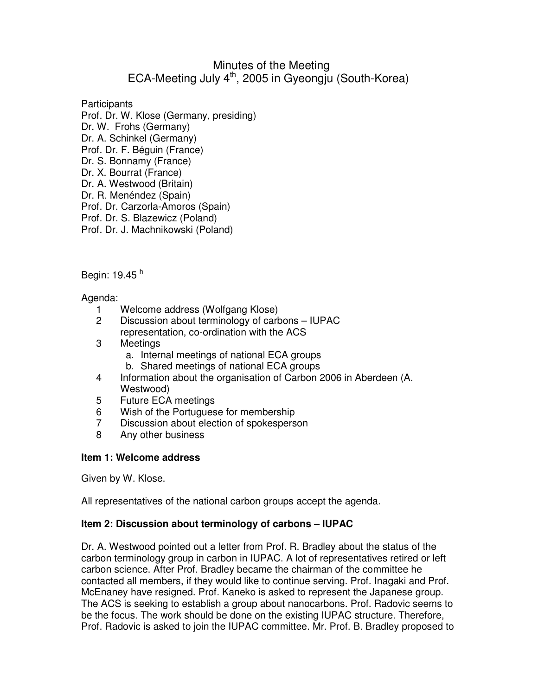# Minutes of the Meeting ECA-Meeting July 4<sup>th</sup>, 2005 in Gyeongiu (South-Korea)

**Participants** Prof. Dr. W. Klose (Germany, presiding) Dr. W. Frohs (Germany) Dr. A. Schinkel (Germany) Prof. Dr. F. Béguin (France) Dr. S. Bonnamy (France) Dr. X. Bourrat (France) Dr. A. Westwood (Britain) Dr. R. Menéndez (Spain) Prof. Dr. Carzorla-Amoros (Spain) Prof. Dr. S. Blazewicz (Poland) Prof. Dr. J. Machnikowski (Poland)

Begin: 19.45 <sup>h</sup>

Agenda:

- 1 Welcome address (Wolfgang Klose)
- 2 Discussion about terminology of carbons IUPAC representation, co-ordination with the ACS
- 3 Meetings
	- a. Internal meetings of national ECA groups
	- b. Shared meetings of national ECA groups
- 4 Information about the organisation of Carbon 2006 in Aberdeen (A. Westwood)
- 5 Future ECA meetings
- 6 Wish of the Portuguese for membership
- 7 Discussion about election of spokesperson
- 8 Any other business

### **Item 1: Welcome address**

Given by W. Klose.

All representatives of the national carbon groups accept the agenda.

### **Item 2: Discussion about terminology of carbons – IUPAC**

Dr. A. Westwood pointed out a letter from Prof. R. Bradley about the status of the carbon terminology group in carbon in IUPAC. A lot of representatives retired or left carbon science. After Prof. Bradley became the chairman of the committee he contacted all members, if they would like to continue serving. Prof. Inagaki and Prof. McEnaney have resigned. Prof. Kaneko is asked to represent the Japanese group. The ACS is seeking to establish a group about nanocarbons. Prof. Radovic seems to be the focus. The work should be done on the existing IUPAC structure. Therefore, Prof. Radovic is asked to join the IUPAC committee. Mr. Prof. B. Bradley proposed to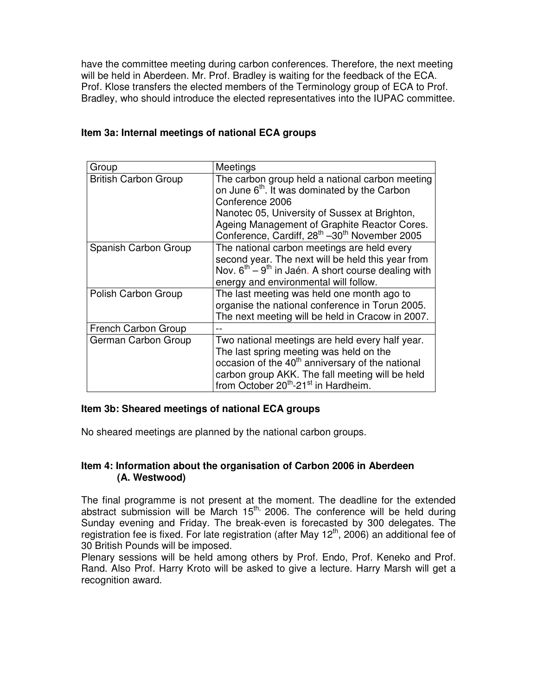have the committee meeting during carbon conferences. Therefore, the next meeting will be held in Aberdeen. Mr. Prof. Bradley is waiting for the feedback of the ECA. Prof. Klose transfers the elected members of the Terminology group of ECA to Prof. Bradley, who should introduce the elected representatives into the IUPAC committee.

| Group                       | Meetings                                                                                                                                                                                                                                                                                                 |
|-----------------------------|----------------------------------------------------------------------------------------------------------------------------------------------------------------------------------------------------------------------------------------------------------------------------------------------------------|
| <b>British Carbon Group</b> | The carbon group held a national carbon meeting<br>on June 6 <sup>th</sup> . It was dominated by the Carbon<br>Conference 2006<br>Nanotec 05, University of Sussex at Brighton,<br>Ageing Management of Graphite Reactor Cores.<br>Conference, Cardiff, 28 <sup>th</sup> -30 <sup>th</sup> November 2005 |
| Spanish Carbon Group        | The national carbon meetings are held every<br>second year. The next will be held this year from<br>Nov. $6^{th}$ – 9 <sup>th</sup> in Jaén. A short course dealing with<br>energy and environmental will follow.                                                                                        |
| Polish Carbon Group         | The last meeting was held one month ago to<br>organise the national conference in Torun 2005.<br>The next meeting will be held in Cracow in 2007.                                                                                                                                                        |
| French Carbon Group         |                                                                                                                                                                                                                                                                                                          |
| German Carbon Group         | Two national meetings are held every half year.<br>The last spring meeting was held on the<br>occasion of the 40 <sup>th</sup> anniversary of the national<br>carbon group AKK. The fall meeting will be held<br>from October 20 <sup>th</sup> -21 <sup>st</sup> in Hardheim.                            |

# **Item 3a: Internal meetings of national ECA groups**

### **Item 3b: Sheared meetings of national ECA groups**

No sheared meetings are planned by the national carbon groups.

### **Item 4: Information about the organisation of Carbon 2006 in Aberdeen (A. Westwood)**

The final programme is not present at the moment. The deadline for the extended abstract submission will be March 15<sup>th,</sup> 2006. The conference will be held during Sunday evening and Friday. The break-even is forecasted by 300 delegates. The registration fee is fixed. For late registration (after May  $12<sup>th</sup>$ , 2006) an additional fee of 30 British Pounds will be imposed.

Plenary sessions will be held among others by Prof. Endo, Prof. Keneko and Prof. Rand. Also Prof. Harry Kroto will be asked to give a lecture. Harry Marsh will get a recognition award.